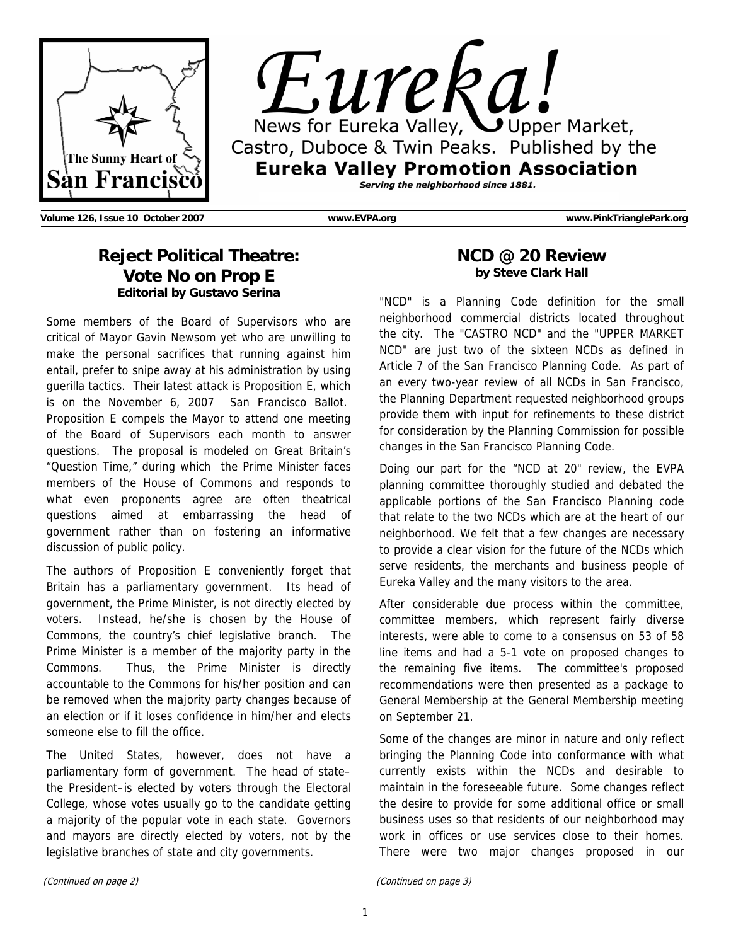



**Volume 126, Issue 10 October 2007 www.EVPA.org www.PinkTrianglePark.org** 

## **Reject Political Theatre: Vote No on Prop E Editorial by Gustavo Serina**

Some members of the Board of Supervisors who are critical of Mayor Gavin Newsom yet who are unwilling to make the personal sacrifices that running against him entail, prefer to snipe away at his administration by using guerilla tactics. Their latest attack is Proposition E, which is on the November 6, 2007 San Francisco Ballot. Proposition E compels the Mayor to attend one meeting of the Board of Supervisors each month to answer questions. The proposal is modeled on Great Britain's "Question Time," during which the Prime Minister faces members of the House of Commons and responds to what even proponents agree are often theatrical questions aimed at embarrassing the head of government rather than on fostering an informative discussion of public policy.

The authors of Proposition E conveniently forget that Britain has a parliamentary government. Its head of government, the Prime Minister, is not directly elected by voters. Instead, he/she is chosen by the House of Commons, the country's chief legislative branch. The Prime Minister is a member of the majority party in the Commons. Thus, the Prime Minister is directly accountable to the Commons for his/her position and can be removed when the majority party changes because of an election or if it loses confidence in him/her and elects someone else to fill the office.

The United States, however, does not have a parliamentary form of government. The head of state– the President–is elected by voters through the Electoral College, whose votes usually go to the candidate getting a majority of the popular vote in each state. Governors and mayors are directly elected by voters, not by the legislative branches of state and city governments.

### **NCD @ 20 Review by Steve Clark Hall**

"NCD" is a Planning Code definition for the small neighborhood commercial districts located throughout the city. The "CASTRO NCD" and the "UPPER MARKET NCD" are just two of the sixteen NCDs as defined in Article 7 of the San Francisco Planning Code. As part of an every two-year review of all NCDs in San Francisco, the Planning Department requested neighborhood groups provide them with input for refinements to these district for consideration by the Planning Commission for possible changes in the San Francisco Planning Code.

Doing our part for the "NCD at 20" review, the EVPA planning committee thoroughly studied and debated the applicable portions of the San Francisco Planning code that relate to the two NCDs which are at the heart of our neighborhood. We felt that a few changes are necessary to provide a clear vision for the future of the NCDs which serve residents, the merchants and business people of Eureka Valley and the many visitors to the area.

After considerable due process within the committee, committee members, which represent fairly diverse interests, were able to come to a consensus on 53 of 58 line items and had a 5-1 vote on proposed changes to the remaining five items. The committee's proposed recommendations were then presented as a package to General Membership at the General Membership meeting on September 21.

Some of the changes are minor in nature and only reflect bringing the Planning Code into conformance with what currently exists within the NCDs and desirable to maintain in the foreseeable future. Some changes reflect the desire to provide for some additional office or small business uses so that residents of our neighborhood may work in offices or use services close to their homes. There were two major changes proposed in our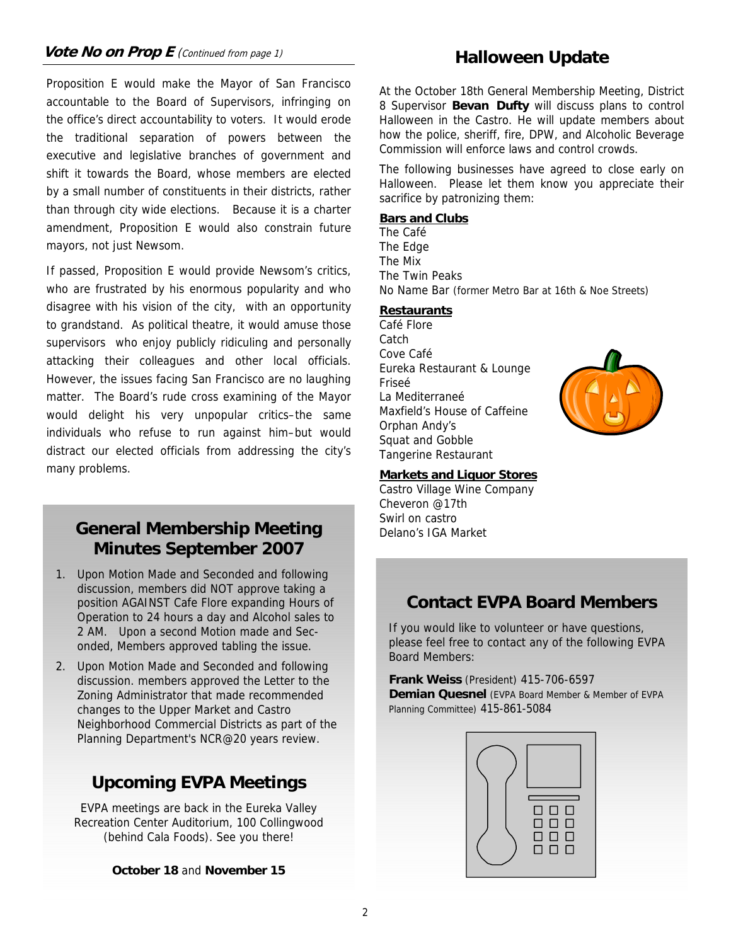## **Vote No on Prop E** (Continued from page 1) **Halloween Update**

Proposition E would make the Mayor of San Francisco accountable to the Board of Supervisors, infringing on the office's direct accountability to voters. It would erode the traditional separation of powers between the executive and legislative branches of government and shift it towards the Board, whose members are elected by a small number of constituents in their districts, rather than through city wide elections. Because it is a charter amendment, Proposition E would also constrain future mayors, not just Newsom.

If passed, Proposition E would provide Newsom's critics, who are frustrated by his enormous popularity and who disagree with his vision of the city, with an opportunity to grandstand. As political theatre, it would amuse those supervisors who enjoy publicly ridiculing and personally attacking their colleagues and other local officials. However, the issues facing San Francisco are no laughing matter. The Board's rude cross examining of the Mayor would delight his very unpopular critics–the same individuals who refuse to run against him–but would distract our elected officials from addressing the city's many problems.

## **General Membership Meeting Minutes September 2007**

- 1. Upon Motion Made and Seconded and following discussion, members did NOT approve taking a position AGAINST Cafe Flore expanding Hours of Operation to 24 hours a day and Alcohol sales to 2 AM. Upon a second Motion made and Seconded, Members approved tabling the issue.
- 2. Upon Motion Made and Seconded and following discussion. members approved the Letter to the Zoning Administrator that made recommended changes to the Upper Market and Castro Neighborhood Commercial Districts as part of the Planning Department's NCR@20 years review.

## **Upcoming EVPA Meetings**

EVPA meetings are back in the Eureka Valley Recreation Center Auditorium, 100 Collingwood (behind Cala Foods). See you there!

#### **October 18** and **November 15**

At the October 18th General Membership Meeting, District 8 Supervisor **Bevan Dufty** will discuss plans to control Halloween in the Castro. He will update members about how the police, sheriff, fire, DPW, and Alcoholic Beverage Commission will enforce laws and control crowds.

The following businesses have agreed to close early on Halloween. Please let them know you appreciate their sacrifice by patronizing them:

#### **Bars and Clubs**

The Café The Edge The Mix The Twin Peaks No Name Bar (former Metro Bar at 16th & Noe Streets)

#### **Restaurants**

Café Flore **Catch** Cove Café Eureka Restaurant & Lounge Friseé La Mediterraneé Maxfield's House of Caffeine Orphan Andy's Squat and Gobble Tangerine Restaurant



#### **Markets and Liquor Stores**

Castro Village Wine Company Cheveron @17th Swirl on castro Delano's IGA Market

## **Contact EVPA Board Members**

If you would like to volunteer or have questions, please feel free to contact any of the following EVPA Board Members:

**Frank Weiss** (President) 415-706-6597 **Demian Quesnel** (EVPA Board Member & Member of EVPA Planning Committee) 415-861-5084

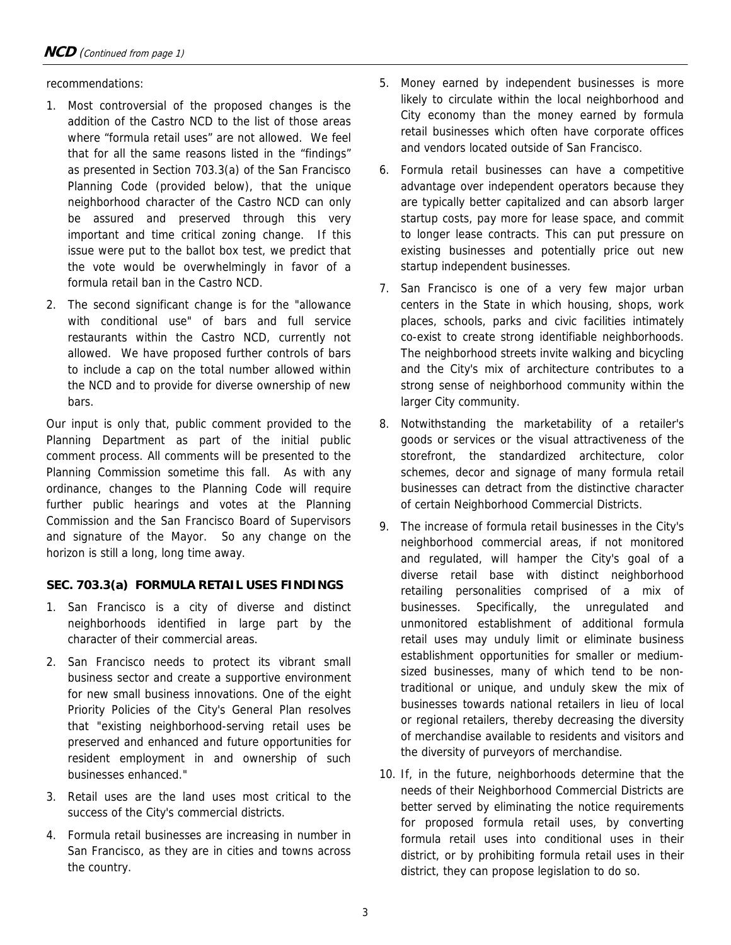recommendations:

- 1. Most controversial of the proposed changes is the addition of the Castro NCD to the list of those areas where "formula retail uses" are not allowed. We feel that for all the same reasons listed in the "findings" as presented in Section 703.3(a) of the San Francisco Planning Code (provided below), that the unique neighborhood character of the Castro NCD can only be assured and preserved through this very important and time critical zoning change. If this issue were put to the ballot box test, we predict that the vote would be overwhelmingly in favor of a formula retail ban in the Castro NCD.
- 2. The second significant change is for the "allowance with conditional use" of bars and full service restaurants within the Castro NCD, currently not allowed. We have proposed further controls of bars to include a cap on the total number allowed within the NCD and to provide for diverse ownership of new bars.

Our input is only that, public comment provided to the Planning Department as part of the initial public comment process. All comments will be presented to the Planning Commission sometime this fall. As with any ordinance, changes to the Planning Code will require further public hearings and votes at the Planning Commission and the San Francisco Board of Supervisors and signature of the Mayor. So any change on the horizon is still a long, long time away.

#### **SEC. 703.3(a) FORMULA RETAIL USES FINDINGS**

- 1. San Francisco is a city of diverse and distinct neighborhoods identified in large part by the character of their commercial areas.
- 2. San Francisco needs to protect its vibrant small business sector and create a supportive environment for new small business innovations. One of the eight Priority Policies of the City's General Plan resolves that "existing neighborhood-serving retail uses be preserved and enhanced and future opportunities for resident employment in and ownership of such businesses enhanced."
- 3. Retail uses are the land uses most critical to the success of the City's commercial districts.
- 4. Formula retail businesses are increasing in number in San Francisco, as they are in cities and towns across the country.
- 5. Money earned by independent businesses is more likely to circulate within the local neighborhood and City economy than the money earned by formula retail businesses which often have corporate offices and vendors located outside of San Francisco.
- 6. Formula retail businesses can have a competitive advantage over independent operators because they are typically better capitalized and can absorb larger startup costs, pay more for lease space, and commit to longer lease contracts. This can put pressure on existing businesses and potentially price out new startup independent businesses.
- 7. San Francisco is one of a very few major urban centers in the State in which housing, shops, work places, schools, parks and civic facilities intimately co-exist to create strong identifiable neighborhoods. The neighborhood streets invite walking and bicycling and the City's mix of architecture contributes to a strong sense of neighborhood community within the larger City community.
- 8. Notwithstanding the marketability of a retailer's goods or services or the visual attractiveness of the storefront, the standardized architecture, color schemes, decor and signage of many formula retail businesses can detract from the distinctive character of certain Neighborhood Commercial Districts.
- 9. The increase of formula retail businesses in the City's neighborhood commercial areas, if not monitored and regulated, will hamper the City's goal of a diverse retail base with distinct neighborhood retailing personalities comprised of a mix of businesses. Specifically, the unregulated and unmonitored establishment of additional formula retail uses may unduly limit or eliminate business establishment opportunities for smaller or mediumsized businesses, many of which tend to be nontraditional or unique, and unduly skew the mix of businesses towards national retailers in lieu of local or regional retailers, thereby decreasing the diversity of merchandise available to residents and visitors and the diversity of purveyors of merchandise.
- 10. If, in the future, neighborhoods determine that the needs of their Neighborhood Commercial Districts are better served by eliminating the notice requirements for proposed formula retail uses, by converting formula retail uses into conditional uses in their district, or by prohibiting formula retail uses in their district, they can propose legislation to do so.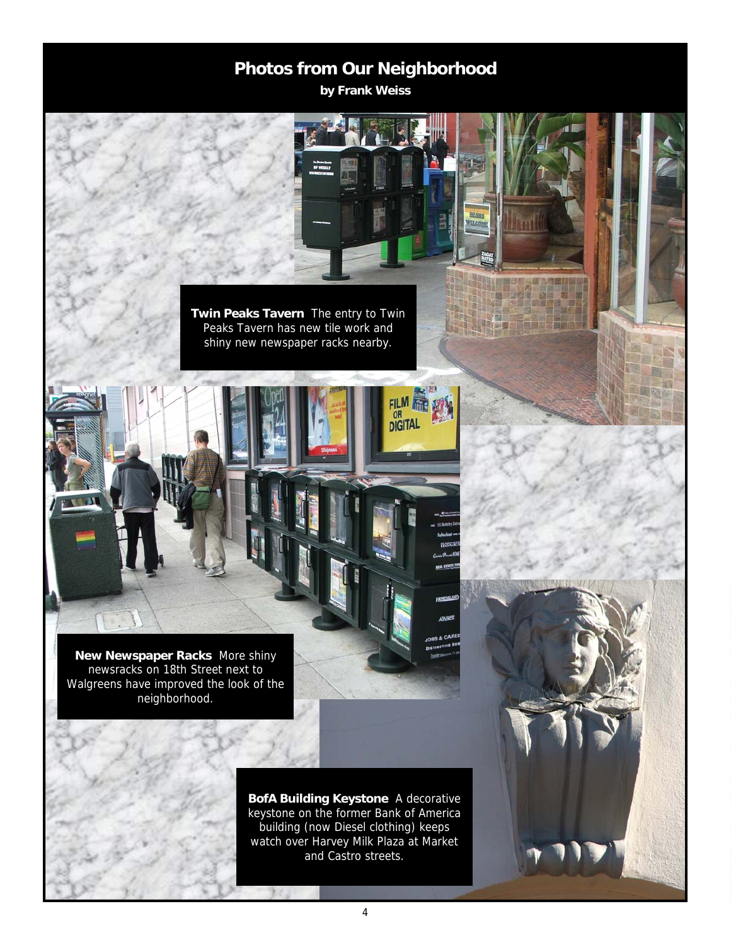## **Photos from Our Neighborhood**

**by Frank Weiss** 

FILM

**THE REAL** 

**Twin Peaks Tavern** The entry to Twin Peaks Tavern has new tile work and shiny new newspaper racks nearby.

**New Newspaper Racks** More shiny newsracks on 18th Street next to Walgreens have improved the look of the neighborhood.

> **BofA Building Keystone** A decorative keystone on the former Bank of America building (now Diesel clothing) keeps watch over Harvey Milk Plaza at Market and Castro streets.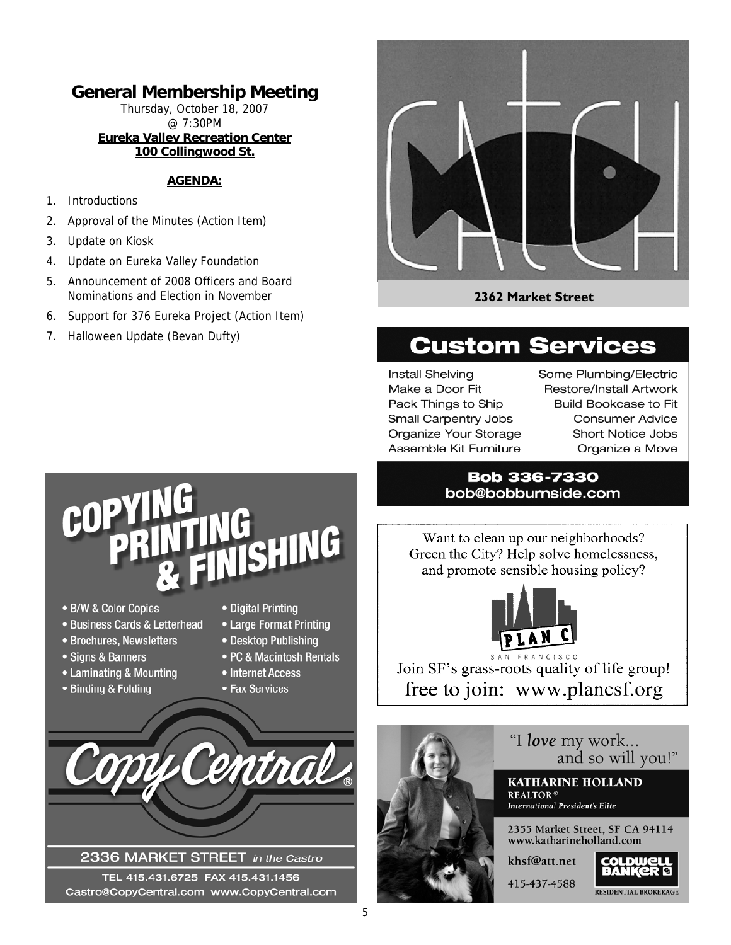## **General Membership Meeting**

Thursday, October 18, 2007 @ 7:30PM **Eureka Valley Recreation Center 100 Collingwood St.** 

#### **AGENDA:**

- 1. Introductions
- 2. Approval of the Minutes (Action Item)
- 3. Update on Kiosk
- 4. Update on Eureka Valley Foundation
- 5. Announcement of 2008 Officers and Board Nominations and Election in November
- 6. Support for 376 Eureka Project (Action Item)
- 7. Halloween Update (Bevan Dufty)



#### **2362 Market Street**

## **Custom Services**

Install Shelving Make a Door Fit Pack Things to Ship Small Carpentry Jobs Organize Your Storage Assemble Kit Furniture

Some Plumbing/Electric Restore/Install Artwork **Build Bookcase to Fit Consumer Advice** Short Notice Jobs Organize a Move

#### **Bob 336-7330** bob@bobburnside.com

Want to clean up our neighborhoods? Green the City? Help solve homelessness, and promote sensible housing policy?



Join SF's grass-roots quality of life group! free to join: www.plancsf.org



# COP SHING

- B/W & Color Copies
- · Business Cards & Letterhead
- Brochures, Newsletters
- Signs & Banners
- Laminating & Mounting
- Binding & Folding
- Digital Printing
- Large Format Printing
- Desktop Publishing
- PC & Macintosh Rentals
- Internet Access
- Fax Services



#### 2336 MARKET STREET in the Castro

TEL 415.431.6725 FAX 415.431.1456 Castro@CopyCentral.com www.CopyCentral.com